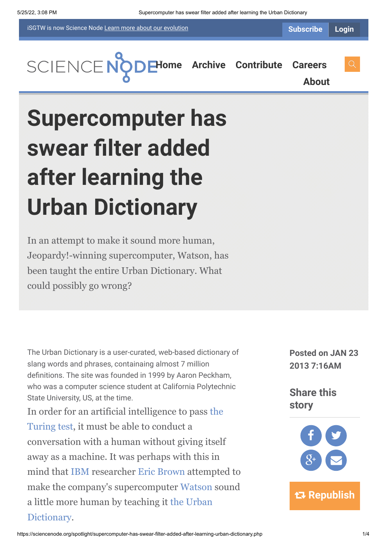iSGTW is now Science Node [Learn more about](https://sciencenode.org/about/index.php#history) our evolution

**[H](https://sciencenode.org/index.php)[ome](https://sciencenode.org/) [Archive](https://sciencenode.org/archive/index.php) [Contribute](https://sciencenode.org/contribute/index.php) [Careers](https://sciencenode.org/careers/index.php) [About](https://sciencenode.org/about/index.php)**

## **Supercomputer has swear filter added after learning the Urban Dictionary**

In an attempt to make it sound more human, Jeopardy!-winning supercomputer, Watson, has been taught the entire Urban Dictionary. What could possibly go wrong?

The Urban Dictionary is a user-curated, web-based dictionary of slang words and phrases, containaing almost 7 million definitions. The site was founded in 1999 by Aaron Peckham, who was a computer science student at California Polytechnic State University, US, at the time.

[In order for an artificial intelligence to pass the](http://en.wikipedia.org/wiki/Turing_test) Turing test, it must be able to conduct a conversation with a human without giving itself away as a machine. It was perhaps with this in mind that [IBM](http://en.wikipedia.org/wiki/IBM) researcher [Eric Brown](http://researcher.watson.ibm.com/researcher/view.php?person=us-ewb) attempted to make the company's supercomputer [Watson](http://www-03.ibm.com/innovation/us/watson/) sound [a little more human by teaching it the Urban](http://www.urbandictionary.com/) Dictionary.

**Posted on JAN 23 2013 7:16AM**

**Share this story**

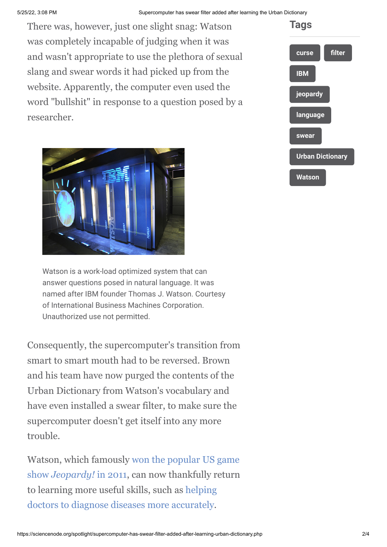## 5/25/22, 3:08 PM Supercomputer has swear filter added after learning the Urban Dictionary

There was, however, just one slight snag: Watson was completely incapable of judging when it was and wasn't appropriate to use the plethora of sexual slang and swear words it had picked up from the website. Apparently, the computer even used the word "bullshit" in response to a question posed by a researcher.



Watson is a work-load optimized system that can answer questions posed in natural language. It was named after IBM founder Thomas J. Watson. Courtesy of International Business Machines Corporation. Unauthorized use not permitted.

Consequently, the supercomputer's transition from smart to smart mouth had to be reversed. Brown and his team have now purged the contents of the Urban Dictionary from Watson's vocabulary and have even installed a swear filter, to make sure the supercomputer doesn't get itself into any more trouble.

[Watson, which famously won the popular US game](http://www.isgtw.org/spotlight/watson-wins) show *Jeopardy!* in 2011, can now thankfully return [to learning more useful skills, such as helping](http://www.isgtw.org/feed-item/just-months-after-jeopardy-watson-wows-doctors) doctors to diagnose diseases more accurately.

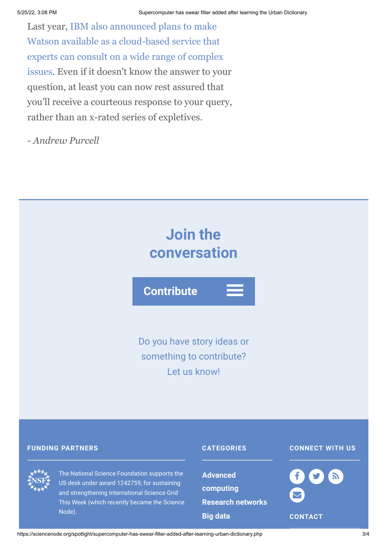Last year, IBM also announced plans to make Watson available as a cloud-based service that experts can consult on a wide range of complex [issues. Even if it doesn't know the answer to you](http://www.newscientist.com/blogs/onepercent/2012/09/watson-the-supercomputer-geniu.html)r question, at least you can now rest assured that you'll receive a courteous response to your query, rather than an x-rated series of expletives.

*- Andrew Purcell*



US desk under award 1242759, for sustaining and strengthening International Science Grid This Week (which recently became the Science Node).

**[computing](https://sciencenode.org/archive/?year=2015&category=Advanced%20computing) [Research networks](https://sciencenode.org/archive/?year=2015&category=Advanced%20computing&category=Research%20networks) [Big data](https://sciencenode.org/archive/?year=2015&category=Advanced%20computing&category=Research%20networks&category=Big%20data)**



**CONTACT**

https://sciencenode.org/spotlight/supercomputer-has-swear-filter-added-after-learning-urban-dictionary.php 3/4